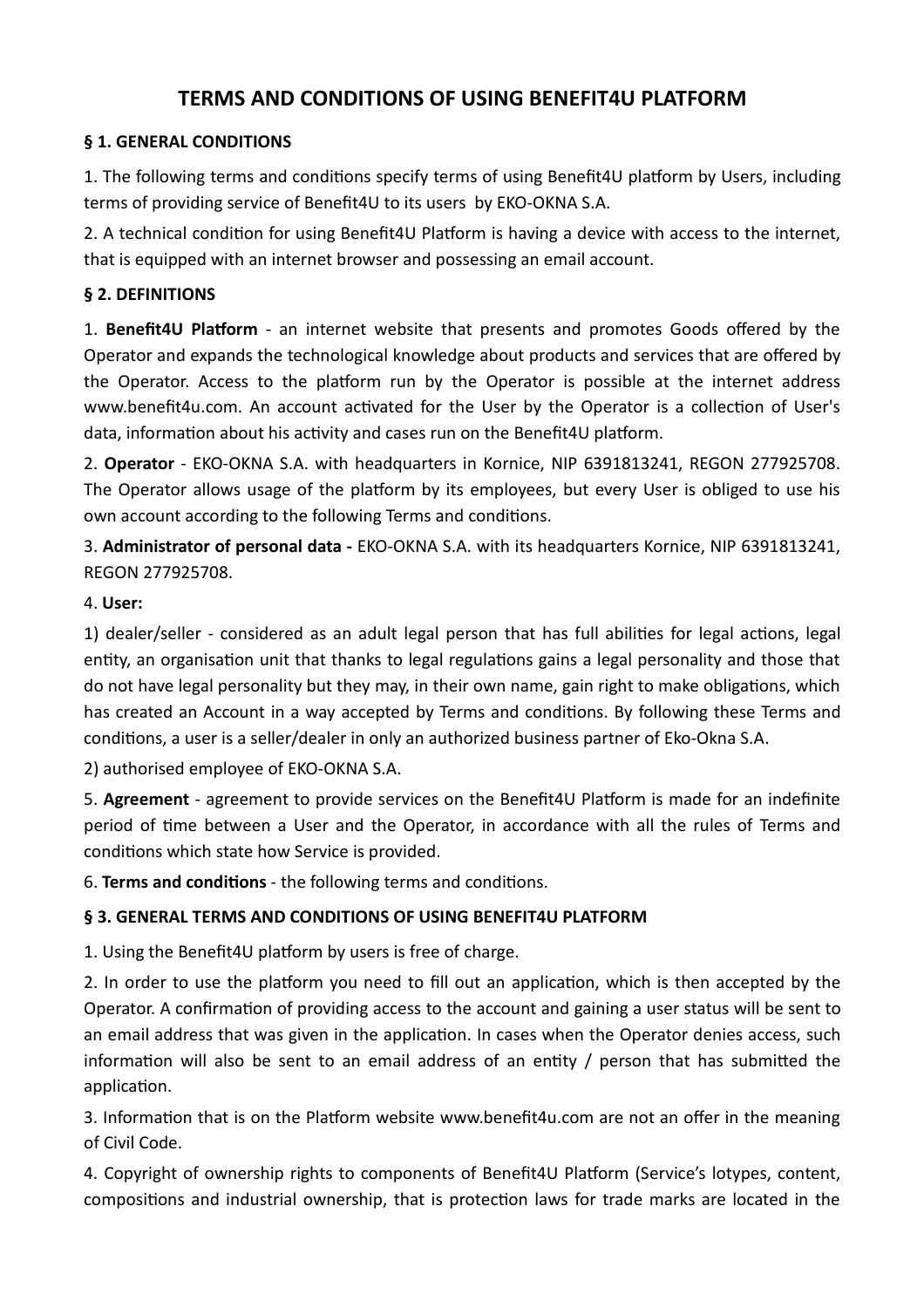# **TERMS AND CONDITIONS OF USING BENEFIT4U PLATFORM**

### **§ 1. GENERAL CONDITIONS**

1. The following terms and conditions specify terms of using Benefit4U platform by Users, including terms of providing service of Benefit4U to its users by EKO-OKNA S.A.

2. A technical condition for using Benefit4U Platform is having a device with access to the internet. that is equipped with an internet browser and possessing an email account.

### **§ 2. DEFINITIONS**

1. **Benefit4U Platform** - an internet website that presents and promotes Goods offered by the Operator and expands the technological knowledge about products and services that are offered by the Operator. Access to the platform run by the Operator is possible at the internet address www.benefit4u.com. An account activated for the User by the Operator is a collection of User's data, information about his activity and cases run on the Benefit4U platform.

2. **Operator** - EKO-OKNA S.A. with headquarters in Kornice, NIP 6391813241, REGON 277925708. The Operator allows usage of the platform by its employees, but every User is obliged to use his own account according to the following Terms and conditions.

3. **Administrator of personal data -** EKO-OKNA S.A. with its headquarters Kornice, NIP 6391813241, REGON 277925708.

#### 4. **User:**

1) dealer/seller - considered as an adult legal person that has full abilities for legal actions, legal entity, an organisation unit that thanks to legal regulations gains a legal personality and those that do not have legal personality but they may, in their own name, gain right to make obligations, which has created an Account in a way accepted by Terms and conditions. By following these Terms and conditions, a user is a seller/dealer in only an authorized business partner of Eko-Okna S.A.

2) authorised employee of EKO-OKNA S.A.

5. **Agreement** - agreement to provide services on the Benefit4U Platform is made for an indefinite period of me between a User and the Operator, in accordance with all the rules of Terms and conditions which state how Service is provided.

6. **Terms and conditions** - the following terms and conditions.

# **§ 3. GENERAL TERMS AND CONDITIONS OF USING BENEFIT4U PLATFORM**

1. Using the Benefit4U platform by users is free of charge.

2. In order to use the platform you need to fill out an application, which is then accepted by the Operator. A confirmation of providing access to the account and gaining a user status will be sent to an email address that was given in the application. In cases when the Operator denies access, such information will also be sent to an email address of an entity  $/$  person that has submitted the application.

3. Information that is on the Platform website www.benefit4u.com are not an offer in the meaning of Civil Code.

4. Copyright of ownership rights to components of Benefit4U Platform (Service's lotypes, content, compositions and industrial ownership, that is protection laws for trade marks are located in the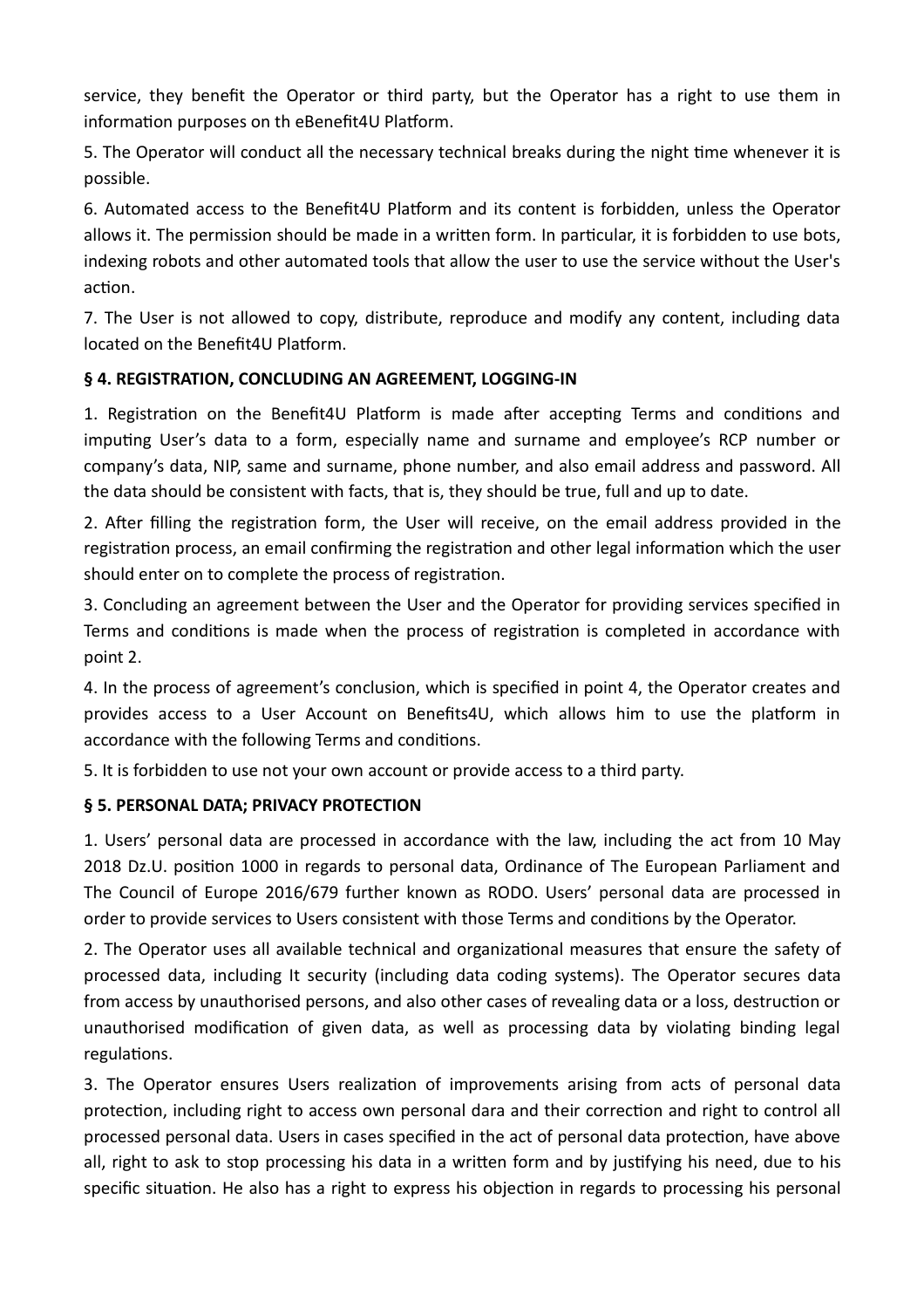service, they benefit the Operator or third party, but the Operator has a right to use them in information purposes on th eBenefit4U Platform.

5. The Operator will conduct all the necessary technical breaks during the night time whenever it is possible.

6. Automated access to the Benefit4U Platform and its content is forbidden, unless the Operator allows it. The permission should be made in a written form. In particular, it is forbidden to use bots, indexing robots and other automated tools that allow the user to use the service without the User's action.

7. The User is not allowed to copy, distribute, reproduce and modify any content, including data located on the Benefit4U Platform.

# **§ 4. REGISTRATION, CONCLUDING AN AGREEMENT, LOGGING-IN**

1. Registration on the Benefit4U Platform is made after accepting Terms and conditions and imputing User's data to a form, especially name and surname and employee's RCP number or company's data, NIP, same and surname, phone number, and also email address and password. All the data should be consistent with facts, that is, they should be true, full and up to date.

2. After filling the registration form, the User will receive, on the email address provided in the registration process, an email confirming the registration and other legal information which the user should enter on to complete the process of registration.

3. Concluding an agreement between the User and the Operator for providing services specified in Terms and conditions is made when the process of registration is completed in accordance with point 2.

4. In the process of agreement's conclusion, which is specified in point 4, the Operator creates and provides access to a User Account on Benefits4U, which allows him to use the platform in accordance with the following Terms and conditions.

5. It is forbidden to use not your own account or provide access to a third party.

#### **§ 5. PERSONAL DATA; PRIVACY PROTECTION**

1. Users' personal data are processed in accordance with the law, including the act from 10 May 2018 Dz.U. position 1000 in regards to personal data, Ordinance of The European Parliament and The Council of Europe 2016/679 further known as RODO. Users' personal data are processed in order to provide services to Users consistent with those Terms and conditions by the Operator.

2. The Operator uses all available technical and organizational measures that ensure the safety of processed data, including It security (including data coding systems). The Operator secures data from access by unauthorised persons, and also other cases of revealing data or a loss, destruction or unauthorised modification of given data, as well as processing data by violating binding legal regulations.

3. The Operator ensures Users realization of improvements arising from acts of personal data protection, including right to access own personal dara and their correction and right to control all processed personal data. Users in cases specified in the act of personal data protection, have above all, right to ask to stop processing his data in a written form and by justifying his need, due to his specific situation. He also has a right to express his objection in regards to processing his personal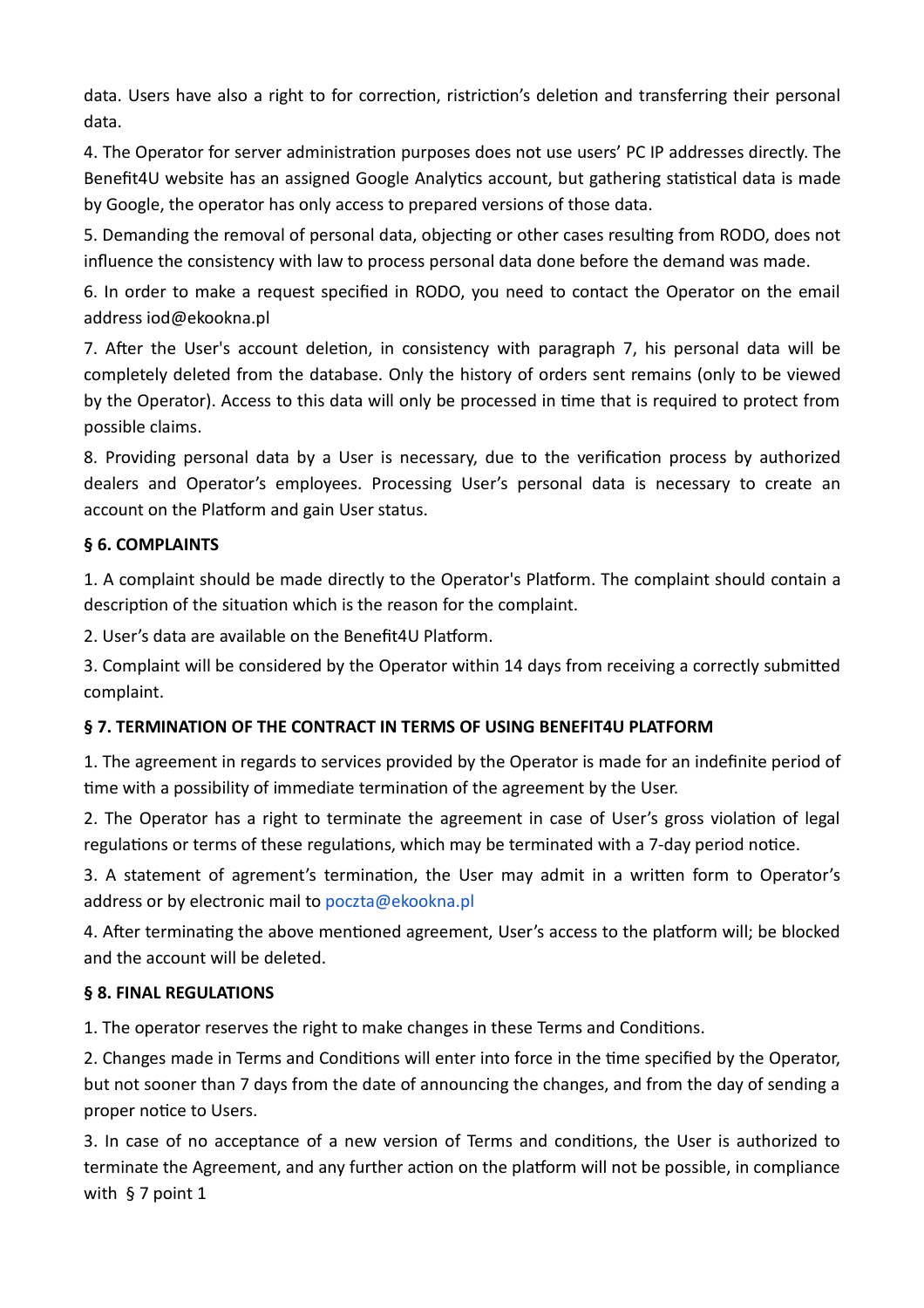data. Users have also a right to for correction, ristriction's deletion and transferring their personal data.

4. The Operator for server administration purposes does not use users' PC IP addresses directly. The Benefit4U website has an assigned Google Analytics account, but gathering statistical data is made by Google, the operator has only access to prepared versions of those data.

5. Demanding the removal of personal data, objecting or other cases resulting from RODO, does not influence the consistency with law to process personal data done before the demand was made.

6. In order to make a request specified in RODO, you need to contact the Operator on the email address iod@ekookna.pl

7. After the User's account deletion, in consistency with paragraph 7, his personal data will be completely deleted from the database. Only the history of orders sent remains (only to be viewed by the Operator). Access to this data will only be processed in time that is required to protect from possible claims.

8. Providing personal data by a User is necessary, due to the verification process by authorized dealers and Operator's employees. Processing User's personal data is necessary to create an account on the Platform and gain User status.

### **§ 6. COMPLAINTS**

1. A complaint should be made directly to the Operator's Platform. The complaint should contain a description of the situation which is the reason for the complaint.

2. User's data are available on the Benefit4U Platform.

3. Complaint will be considered by the Operator within 14 days from receiving a correctly submitted complaint.

#### **§ 7. TERMINATION OF THE CONTRACT IN TERMS OF USING BENEFIT4U PLATFORM**

1. The agreement in regards to services provided by the Operator is made for an indefinite period of time with a possibility of immediate termination of the agreement by the User.

2. The Operator has a right to terminate the agreement in case of User's gross violation of legal regulations or terms of these regulations, which may be terminated with a 7-day period notice.

3. A statement of agrement's termination, the User may admit in a written form to Operator's address or by electronic mail to poczta@ekookna.pl

4. After terminating the above mentioned agreement, User's access to the platform will; be blocked and the account will be deleted.

#### **§ 8. FINAL REGULATIONS**

1. The operator reserves the right to make changes in these Terms and Conditions.

2. Changes made in Terms and Conditions will enter into force in the time specified by the Operator, but not sooner than 7 days from the date of announcing the changes, and from the day of sending a proper notice to Users.

3. In case of no acceptance of a new version of Terms and conditions, the User is authorized to terminate the Agreement, and any further action on the platform will not be possible, in compliance with § 7 point 1